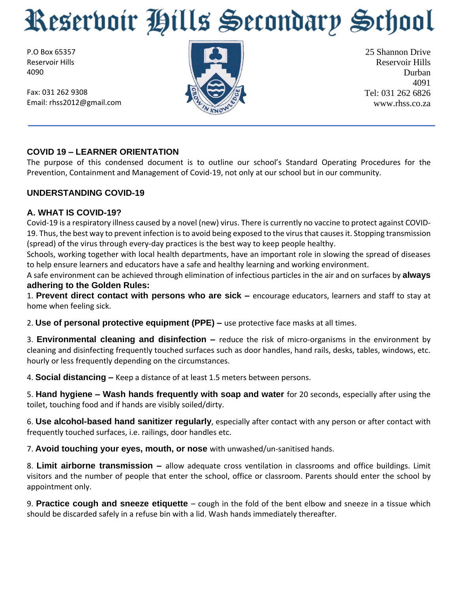P.O Box 65357 Reservoir Hills 4090

Fax: 031 262 9308 Email: rhss2012@gmail.com



25 Shannon Drive Reservoir Hills Durban 4091 Tel: 031 262 6826 www.rhss.co.za

### **COVID 19 – LEARNER ORIENTATION**

The purpose of this condensed document is to outline our school's Standard Operating Procedures for the Prevention, Containment and Management of Covid-19, not only at our school but in our community.

#### **UNDERSTANDING COVID-19**

#### **A. WHAT IS COVID-19?**

Covid-19 is a respiratory illness caused by a novel (new) virus. There is currently no vaccine to protect against COVID-19. Thus, the best way to prevent infection is to avoid being exposed to the virus that causes it. Stopping transmission (spread) of the virus through every-day practices is the best way to keep people healthy.

Schools, working together with local health departments, have an important role in slowing the spread of diseases to help ensure learners and educators have a safe and healthy learning and working environment.

A safe environment can be achieved through elimination of infectious particles in the air and on surfaces by **always adhering to the Golden Rules:** 

1. **Prevent direct contact with persons who are sick –** encourage educators, learners and staff to stay at home when feeling sick.

2. **Use of personal protective equipment (PPE) –** use protective face masks at all times.

3. **Environmental cleaning and disinfection –** reduce the risk of micro-organisms in the environment by cleaning and disinfecting frequently touched surfaces such as door handles, hand rails, desks, tables, windows, etc. hourly or less frequently depending on the circumstances.

4. **Social distancing –** Keep a distance of at least 1.5 meters between persons.

5. **Hand hygiene – Wash hands frequently with soap and water** for 20 seconds, especially after using the toilet, touching food and if hands are visibly soiled/dirty.

6. **Use alcohol-based hand sanitizer regularly**, especially after contact with any person or after contact with frequently touched surfaces, i.e. railings, door handles etc.

7. **Avoid touching your eyes, mouth, or nose** with unwashed/un-sanitised hands.

8. **Limit airborne transmission –** allow adequate cross ventilation in classrooms and office buildings. Limit visitors and the number of people that enter the school, office or classroom. Parents should enter the school by appointment only.

9. **Practice cough and sneeze etiquette** – cough in the fold of the bent elbow and sneeze in a tissue which should be discarded safely in a refuse bin with a lid. Wash hands immediately thereafter.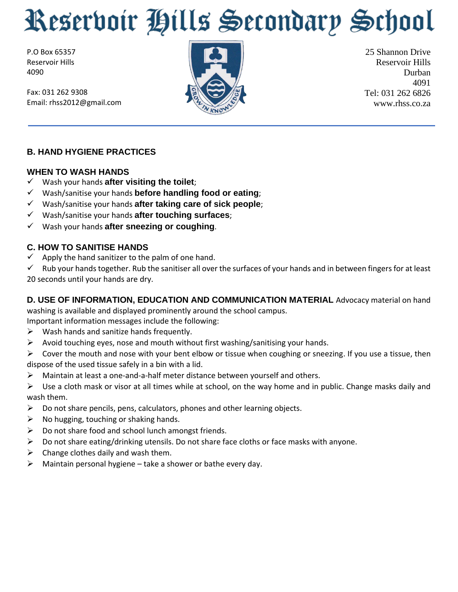P.O Box 65357 Reservoir Hills 4090

Fax: 031 262 9308 Email: rhss2012@gmail.com



25 Shannon Drive Reservoir Hills Durban 4091 Tel: 031 262 6826 www.rhss.co.za

## **B. HAND HYGIENE PRACTICES**

#### **WHEN TO WASH HANDS**

- Wash your hands **after visiting the toilet**;
- Wash/sanitise your hands **before handling food or eating**;
- Wash/sanitise your hands **after taking care of sick people**;
- Wash/sanitise your hands **after touching surfaces**;
- Wash your hands **after sneezing or coughing**.

### **C. HOW TO SANITISE HANDS**

- $\checkmark$  Apply the hand sanitizer to the palm of one hand.
- $\checkmark$  Rub your hands together. Rub the sanitiser all over the surfaces of your hands and in between fingers for at least 20 seconds until your hands are dry.

# **D. USE OF INFORMATION, EDUCATION AND COMMUNICATION MATERIAL** Advocacy material on hand

washing is available and displayed prominently around the school campus.

Important information messages include the following:

- $\triangleright$  Wash hands and sanitize hands frequently.
- $\triangleright$  Avoid touching eyes, nose and mouth without first washing/sanitising your hands.

 $\triangleright$  Cover the mouth and nose with your bent elbow or tissue when coughing or sneezing. If you use a tissue, then dispose of the used tissue safely in a bin with a lid.

 $\triangleright$  Maintain at least a one-and-a-half meter distance between yourself and others.

 $\triangleright$  Use a cloth mask or visor at all times while at school, on the way home and in public. Change masks daily and wash them.

- $\triangleright$  Do not share pencils, pens, calculators, phones and other learning objects.
- $\triangleright$  No hugging, touching or shaking hands.
- $\triangleright$  Do not share food and school lunch amongst friends.
- $\triangleright$  Do not share eating/drinking utensils. Do not share face cloths or face masks with anyone.
- $\triangleright$  Change clothes daily and wash them.
- $\triangleright$  Maintain personal hygiene take a shower or bathe every day.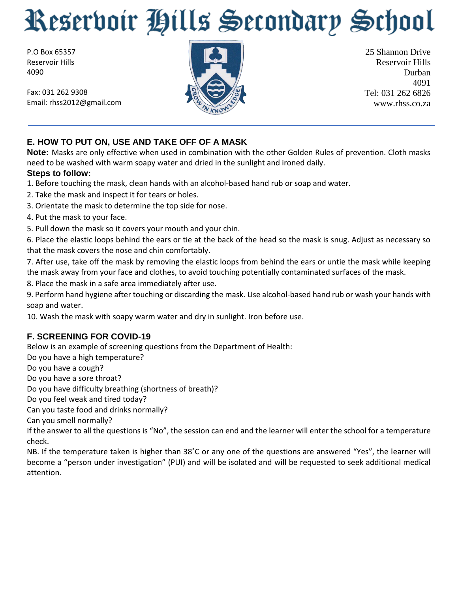P.O Box 65357 Reservoir Hills 4090

Fax: 031 262 9308 Email: rhss2012@gmail.com



25 Shannon Drive Reservoir Hills Durban 4091 Tel: 031 262 6826 www.rhss.co.za

## **E. HOW TO PUT ON, USE AND TAKE OFF OF A MASK**

**Note:** Masks are only effective when used in combination with the other Golden Rules of prevention. Cloth masks need to be washed with warm soapy water and dried in the sunlight and ironed daily.

#### **Steps to follow:**

1. Before touching the mask, clean hands with an alcohol-based hand rub or soap and water.

- 2. Take the mask and inspect it for tears or holes.
- 3. Orientate the mask to determine the top side for nose.
- 4. Put the mask to your face.
- 5. Pull down the mask so it covers your mouth and your chin.

6. Place the elastic loops behind the ears or tie at the back of the head so the mask is snug. Adjust as necessary so that the mask covers the nose and chin comfortably.

7. After use, take off the mask by removing the elastic loops from behind the ears or untie the mask while keeping the mask away from your face and clothes, to avoid touching potentially contaminated surfaces of the mask.

8. Place the mask in a safe area immediately after use.

9. Perform hand hygiene after touching or discarding the mask. Use alcohol-based hand rub or wash your hands with soap and water.

10. Wash the mask with soapy warm water and dry in sunlight. Iron before use.

## **F. SCREENING FOR COVID-19**

Below is an example of screening questions from the Department of Health:

Do you have a high temperature?

Do you have a cough?

Do you have a sore throat?

Do you have difficulty breathing (shortness of breath)?

Do you feel weak and tired today?

Can you taste food and drinks normally?

Can you smell normally?

If the answer to all the questions is "No", the session can end and the learner will enter the school for a temperature check.

NB. If the temperature taken is higher than 38˚C or any one of the questions are answered "Yes", the learner will become a "person under investigation" (PUI) and will be isolated and will be requested to seek additional medical attention.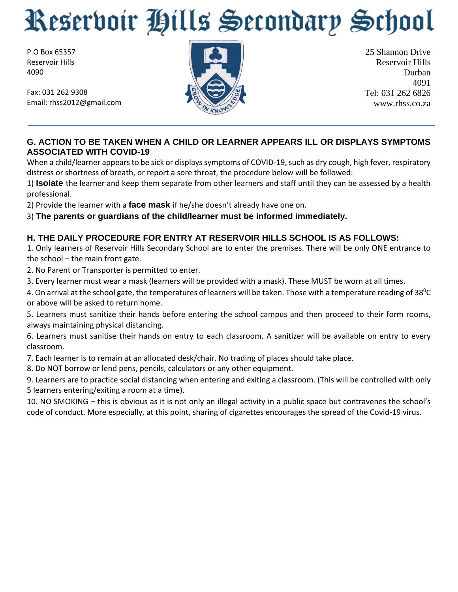P.O Box 65357 Reservoir Hills 4090

Fax: 031 262 9308 Email: rhss2012@gmail.com



25 Shannon Drive Reservoir Hills Durban 4091 Tel: 031 262 6826 www.rhss.co.za

### **G. ACTION TO BE TAKEN WHEN A CHILD OR LEARNER APPEARS ILL OR DISPLAYS SYMPTOMS ASSOCIATED WITH COVID-19**

When a child/learner appears to be sick or displays symptoms of COVID-19, such as dry cough, high fever, respiratory distress or shortness of breath, or report a sore throat, the procedure below will be followed:

1) **Isolate** the learner and keep them separate from other learners and staff until they can be assessed by a health professional.

2) Provide the learner with a **face mask** if he/she doesn't already have one on.

3) **The parents or guardians of the child/learner must be informed immediately.** 

# **H. THE DAILY PROCEDURE FOR ENTRY AT RESERVOIR HILLS SCHOOL IS AS FOLLOWS:**

1. Only learners of Reservoir Hills Secondary School are to enter the premises. There will be only ONE entrance to the school – the main front gate.

2. No Parent or Transporter is permitted to enter.

3. Every learner must wear a mask (learners will be provided with a mask). These MUST be worn at all times.

4. On arrival at the school gate, the temperatures of learners will be taken. Those with a temperature reading of 38<sup>0</sup>C or above will be asked to return home.

5. Learners must sanitize their hands before entering the school campus and then proceed to their form rooms, always maintaining physical distancing.

6. Learners must sanitise their hands on entry to each classroom. A sanitizer will be available on entry to every classroom.

7. Each learner is to remain at an allocated desk/chair. No trading of places should take place.

8. Do NOT borrow or lend pens, pencils, calculators or any other equipment.

9. Learners are to practice social distancing when entering and exiting a classroom. (This will be controlled with only 5 learners entering/exiting a room at a time).

10. NO SMOKING – this is obvious as it is not only an illegal activity in a public space but contravenes the school's code of conduct. More especially, at this point, sharing of cigarettes encourages the spread of the Covid-19 virus.